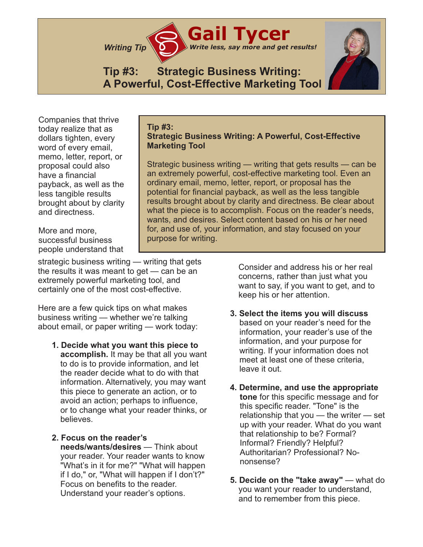

## **Tip #3: Strategic Business Writing: A Powerful, Cost-Effective Marketing Tool**

Companies that thrive today realize that as dollars tighten, every word of every email, memo, letter, report, or proposal could also have a financial payback, as well as the less tangible results brought about by clarity and directness.

More and more, successful business people understand that

strategic business writing — writing that gets the results it was meant to get — can be an extremely powerful marketing tool, and certainly one of the most cost-effective.

Here are a few quick tips on what makes business writing — whether we're talking about email, or paper writing — work today:

- **1. Decide what you want this piece to accomplish.** It may be that all you want to do is to provide information, and let the reader decide what to do with that information. Alternatively, you may want this piece to generate an action, or to avoid an action; perhaps to influence, or to change what your reader thinks, or believes.
- **2. Focus on the reader's needs/wants/desires** — Think about your reader. Your reader wants to know "What's in it for me?" "What will happen if I do," or, "What will happen if I don't?" Focus on benefits to the reader. Understand your reader's options.

**Tip #3: Strategic Business Writing: A Powerful, Cost-Effective Marketing Tool**

Strategic business writing — writing that gets results — can be an extremely powerful, cost-effective marketing tool. Even an ordinary email, memo, letter, report, or proposal has the potential for financial payback, as well as the less tangible results brought about by clarity and directness. Be clear about what the piece is to accomplish. Focus on the reader's needs, wants, and desires. Select content based on his or her need for, and use of, your information, and stay focused on your purpose for writing.

> Consider and address his or her real concerns, rather than just what you want to say, if you want to get, and to keep his or her attention.

- **3. Select the items you will discuss** based on your reader's need for the information, your reader's use of the information, and your purpose for writing. If your information does not meet at least one of these criteria, leave it out.
- **4. Determine, and use the appropriate tone** for this specific message and for this specific reader. "Tone" is the relationship that you — the writer — set up with your reader. What do you want that relationship to be? Formal? Informal? Friendly? Helpful? Authoritarian? Professional? Nononsense?
- **5. Decide on the "take away"** what do you want your reader to understand, and to remember from this piece.